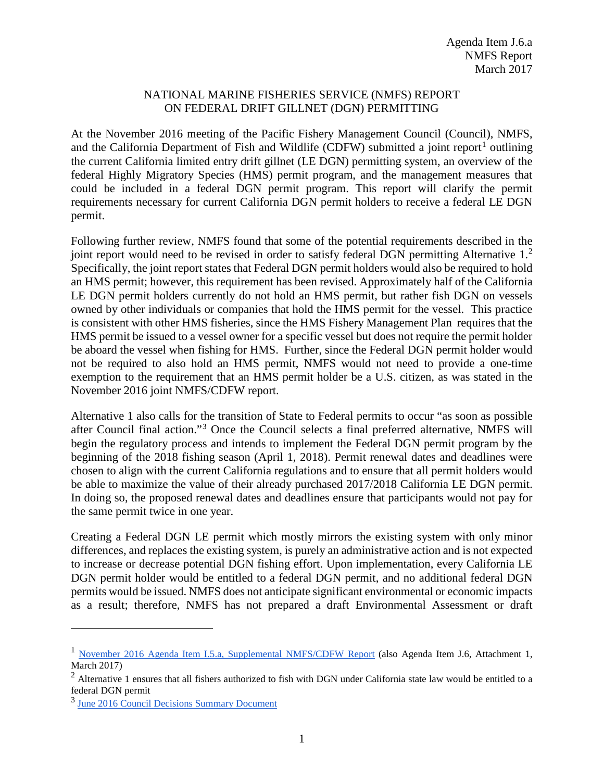## NATIONAL MARINE FISHERIES SERVICE (NMFS) REPORT ON FEDERAL DRIFT GILLNET (DGN) PERMITTING

At the November 2016 meeting of the Pacific Fishery Management Council (Council), NMFS, and the California Department of Fish and Wildlife (CDFW) submitted a joint report<sup>[1](#page-0-0)</sup> outlining the current California limited entry drift gillnet (LE DGN) permitting system, an overview of the federal Highly Migratory Species (HMS) permit program, and the management measures that could be included in a federal DGN permit program. This report will clarify the permit requirements necessary for current California DGN permit holders to receive a federal LE DGN permit.

Following further review, NMFS found that some of the potential requirements described in the joint report would need to be revised in order to satisfy federal DGN permitting Alternative 1.<sup>[2](#page-0-1)</sup> Specifically, the joint report states that Federal DGN permit holders would also be required to hold an HMS permit; however, this requirement has been revised. Approximately half of the California LE DGN permit holders currently do not hold an HMS permit, but rather fish DGN on vessels owned by other individuals or companies that hold the HMS permit for the vessel. This practice is consistent with other HMS fisheries, since the HMS Fishery Management Plan requires that the HMS permit be issued to a vessel owner for a specific vessel but does not require the permit holder be aboard the vessel when fishing for HMS. Further, since the Federal DGN permit holder would not be required to also hold an HMS permit, NMFS would not need to provide a one-time exemption to the requirement that an HMS permit holder be a U.S. citizen, as was stated in the November 2016 joint NMFS/CDFW report.

Alternative 1 also calls for the transition of State to Federal permits to occur "as soon as possible after Council final action."[3](#page-0-2) Once the Council selects a final preferred alternative, NMFS will begin the regulatory process and intends to implement the Federal DGN permit program by the beginning of the 2018 fishing season (April 1, 2018). Permit renewal dates and deadlines were chosen to align with the current California regulations and to ensure that all permit holders would be able to maximize the value of their already purchased 2017/2018 California LE DGN permit. In doing so, the proposed renewal dates and deadlines ensure that participants would not pay for the same permit twice in one year.

Creating a Federal DGN LE permit which mostly mirrors the existing system with only minor differences, and replaces the existing system, is purely an administrative action and is not expected to increase or decrease potential DGN fishing effort. Upon implementation, every California LE DGN permit holder would be entitled to a federal DGN permit, and no additional federal DGN permits would be issued. NMFS does not anticipate significant environmental or economic impacts as a result; therefore, NMFS has not prepared a draft Environmental Assessment or draft

 $\overline{a}$ 

<span id="page-0-0"></span><sup>1</sup> [November 2016 Agenda Item I.5.a, Supplemental NMFS/CDFW Report](http://www.pcouncil.org/wp-content/uploads/2016/11/I5a_Sup_NMFS-CDFW_Rpt_DGN_PermitSystem_NOV2016BB.pdf) (also Agenda Item J.6, Attachment 1, March 2017)

<span id="page-0-1"></span> $2$  Alternative 1 ensures that all fishers authorized to fish with DGN under California state law would be entitled to a federal DGN permit

<span id="page-0-2"></span><sup>3</sup> [June 2016 Council Decisions Summary Document](http://www.pcouncil.org/wp-content/uploads/2016/07/0616decisions.pdf)